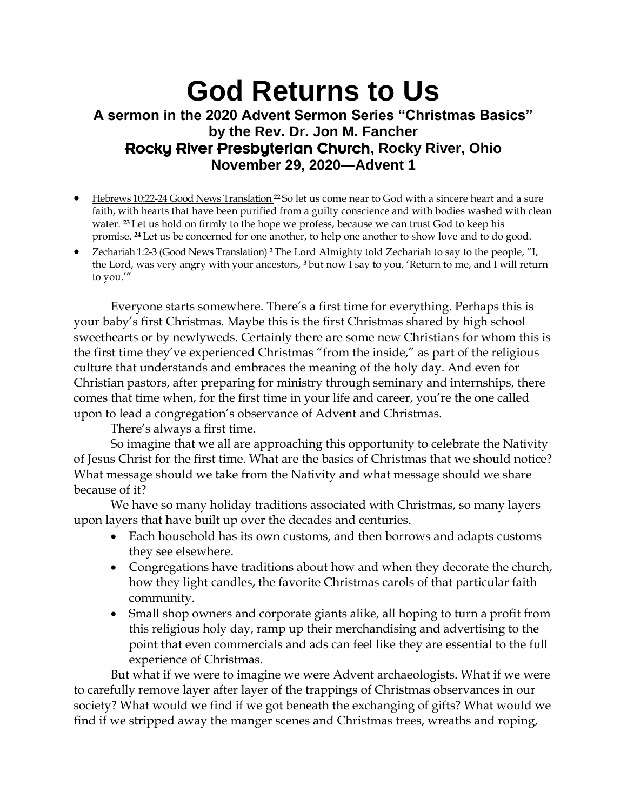## **God Returns to Us A sermon in the 2020 Advent Sermon Series "Christmas Basics" by the Rev. Dr. Jon M. Fancher** Rocky River Presbyterian Church**, Rocky River, Ohio November 29, 2020—Advent 1**

- Hebrews 10:22-24 Good News Translation **<sup>22</sup>** So let us come near to God with a sincere heart and a sure faith, with hearts that have been purified from a guilty conscience and with bodies washed with clean water. **<sup>23</sup>** Let us hold on firmly to the hope we profess, because we can trust God to keep his promise. **<sup>24</sup>** Let us be concerned for one another, to help one another to show love and to do good.
- Zechariah 1:2-3 (Good News Translation) **<sup>2</sup>** The Lord Almighty told Zechariah to say to the people, "I, the Lord, was very angry with your ancestors, **<sup>3</sup>** but now I say to you, 'Return to me, and I will return to you.'"

Everyone starts somewhere. There's a first time for everything. Perhaps this is your baby's first Christmas. Maybe this is the first Christmas shared by high school sweethearts or by newlyweds. Certainly there are some new Christians for whom this is the first time they've experienced Christmas "from the inside," as part of the religious culture that understands and embraces the meaning of the holy day. And even for Christian pastors, after preparing for ministry through seminary and internships, there comes that time when, for the first time in your life and career, you're the one called upon to lead a congregation's observance of Advent and Christmas.

There's always a first time.

So imagine that we all are approaching this opportunity to celebrate the Nativity of Jesus Christ for the first time. What are the basics of Christmas that we should notice? What message should we take from the Nativity and what message should we share because of it?

We have so many holiday traditions associated with Christmas, so many layers upon layers that have built up over the decades and centuries.

- Each household has its own customs, and then borrows and adapts customs they see elsewhere.
- Congregations have traditions about how and when they decorate the church, how they light candles, the favorite Christmas carols of that particular faith community.
- Small shop owners and corporate giants alike, all hoping to turn a profit from this religious holy day, ramp up their merchandising and advertising to the point that even commercials and ads can feel like they are essential to the full experience of Christmas.

But what if we were to imagine we were Advent archaeologists. What if we were to carefully remove layer after layer of the trappings of Christmas observances in our society? What would we find if we got beneath the exchanging of gifts? What would we find if we stripped away the manger scenes and Christmas trees, wreaths and roping,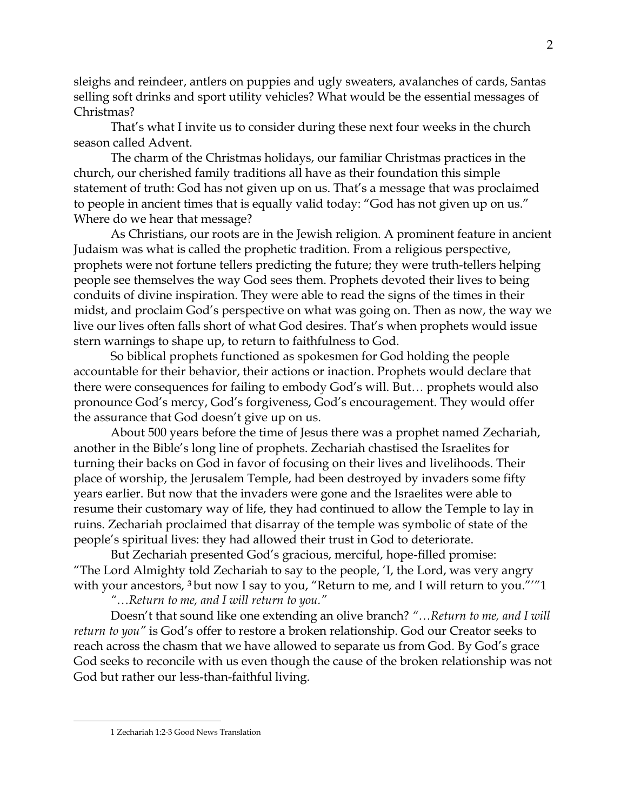sleighs and reindeer, antlers on puppies and ugly sweaters, avalanches of cards, Santas selling soft drinks and sport utility vehicles? What would be the essential messages of Christmas?

That's what I invite us to consider during these next four weeks in the church season called Advent.

The charm of the Christmas holidays, our familiar Christmas practices in the church, our cherished family traditions all have as their foundation this simple statement of truth: God has not given up on us. That's a message that was proclaimed to people in ancient times that is equally valid today: "God has not given up on us." Where do we hear that message?

As Christians, our roots are in the Jewish religion. A prominent feature in ancient Judaism was what is called the prophetic tradition. From a religious perspective, prophets were not fortune tellers predicting the future; they were truth-tellers helping people see themselves the way God sees them. Prophets devoted their lives to being conduits of divine inspiration. They were able to read the signs of the times in their midst, and proclaim God's perspective on what was going on. Then as now, the way we live our lives often falls short of what God desires. That's when prophets would issue stern warnings to shape up, to return to faithfulness to God.

So biblical prophets functioned as spokesmen for God holding the people accountable for their behavior, their actions or inaction. Prophets would declare that there were consequences for failing to embody God's will. But… prophets would also pronounce God's mercy, God's forgiveness, God's encouragement. They would offer the assurance that God doesn't give up on us.

About 500 years before the time of Jesus there was a prophet named Zechariah, another in the Bible's long line of prophets. Zechariah chastised the Israelites for turning their backs on God in favor of focusing on their lives and livelihoods. Their place of worship, the Jerusalem Temple, had been destroyed by invaders some fifty years earlier. But now that the invaders were gone and the Israelites were able to resume their customary way of life, they had continued to allow the Temple to lay in ruins. Zechariah proclaimed that disarray of the temple was symbolic of state of the people's spiritual lives: they had allowed their trust in God to deteriorate.

But Zechariah presented God's gracious, merciful, hope-filled promise: "The Lord Almighty told Zechariah to say to the people, 'I, the Lord, was very angry with your ancestors, **<sup>3</sup>** but now I say to you, "Return to me, and I will return to you."'"1

*"…Return to me, and I will return to you."*

Doesn't that sound like one extending an olive branch? *"…Return to me, and I will return to you"* is God's offer to restore a broken relationship. God our Creator seeks to reach across the chasm that we have allowed to separate us from God. By God's grace God seeks to reconcile with us even though the cause of the broken relationship was not God but rather our less-than-faithful living.

<sup>1</sup> Zechariah 1:2-3 Good News Translation